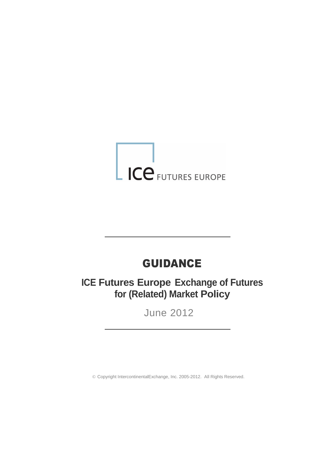# ICE FUTURES EUROPE

## GUIDANCE

**ICE Futures Europe Exchange of Futures for (Related) Market Policy**

June 2012

© Copyright IntercontinentalExchange, Inc. 2005-2012. All Rights Reserved.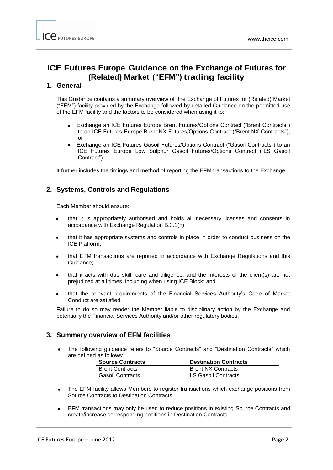### **ICE Futures Europe Guidance on the Exchange of Futures for (Related) Market ("EFM") trading facility**

#### **1. General**

This Guidance contains a summary overview of the Exchange of Futures for (Related) Market ("EFM") facility provided by the Exchange followed by detailed Guidance on the permitted use of the EFM facility and the factors to be considered when using it to:

- Exchange an ICE Futures Europe Brent Futures/Options Contract ("Brent Contracts") to an ICE Futures Europe Brent NX Futures/Options Contract ("Brent NX Contracts"); or
- Exchange an ICE Futures Gasoil Futures/Options Contract ("Gasoil Contracts") to an ICE Futures Europe Low Sulphur Gasoil Futures/Options Contract ("LS Gasoil Contract")

It further includes the timings and method of reporting the EFM transactions to the Exchange.

#### **2. Systems, Controls and Regulations**

Each Member should ensure:

- that it is appropriately authorised and holds all necessary licenses and consents in accordance with Exchange Regulation B.3.1(h);
- that it has appropriate systems and controls in place in order to conduct business on the ICE Platform;
- that EFM transactions are reported in accordance with Exchange Regulations and this Guidance;
- that it acts with due skill, care and diligence; and the interests of the client(s) are not prejudiced at all times, including when using ICE Block; and
- that the relevant requirements of the Financial Services Authority's Code of Market Conduct are satisfied.

Failure to do so may render the Member liable to disciplinary action by the Exchange and potentially the Financial Services Authority and/or other regulatory bodies.

#### **3. Summary overview of EFM facilities**

The following guidance refers to "Source Contracts" and "Destination Contracts" which are defined as follows:

| <b>Source Contracts</b> | <b>Destination Contracts</b> |
|-------------------------|------------------------------|
| <b>Brent Contracts</b>  | <b>Brent NX Contracts</b>    |
| <b>Gasoil Contracts</b> | <b>LS Gasoil Contracts</b>   |

- The EFM facility allows Members to register transactions which exchange positions from  $\bullet$ Source Contracts to Destination Contracts.
- EFM transactions may only be used to reduce positions in existing Source Contracts and create/increase corresponding positions in Destination Contracts.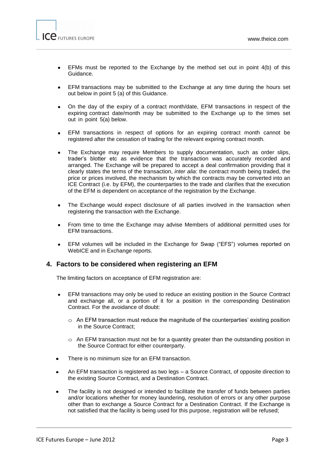- EFMs must be reported to the Exchange by the method set out in point 4(b) of this  $\bullet$ Guidance.
- EFM transactions may be submitted to the Exchange at any time during the hours set out below in point 5 (a) of this Guidance.
- On the day of the expiry of a contract month/date, EFM transactions in respect of the expiring contract date/month may be submitted to the Exchange up to the times set out in point 5(a) below.
- EFM transactions in respect of options for an expiring contract month cannot be registered after the cessation of trading for the relevant expiring contract month.
- The Exchange may require Members to supply documentation, such as order slips, trader's blotter etc as evidence that the transaction was accurately recorded and arranged. The Exchange will be prepared to accept a deal confirmation providing that it clearly states the terms of the transaction, *inter alia*: the contract month being traded, the price or prices involved, the mechanism by which the contracts may be converted into an ICE Contract (i.e. by EFM), the counterparties to the trade and clarifies that the execution of the EFM is dependent on acceptance of the registration by the Exchange.
- The Exchange would expect disclosure of all parties involved in the transaction when registering the transaction with the Exchange.
- From time to time the Exchange may advise Members of additional permitted uses for  $\bullet$ EFM transactions.
- EFM volumes will be included in the Exchange for Swap ("EFS") volumes reported on WebICE and in Exchange reports.

#### **4. Factors to be considered when registering an EFM**

The limiting factors on acceptance of EFM registration are:

- $\bullet$ EFM transactions may only be used to reduce an existing position in the Source Contract and exchange all, or a portion of it for a position in the corresponding Destination Contract. For the avoidance of doubt:
	- $\circ$  An EFM transaction must reduce the magnitude of the counterparties' existing position in the Source Contract;
	- $\circ$  An EFM transaction must not be for a quantity greater than the outstanding position in the Source Contract for either counterparty.
- There is no minimum size for an EFM transaction.
- An EFM transaction is registered as two legs a Source Contract, of opposite direction to the existing Source Contract, and a Destination Contract.
- The facility is not designed or intended to facilitate the transfer of funds between parties and/or locations whether for money laundering, resolution of errors or any other purpose other than to exchange a Source Contract for a Destination Contract. If the Exchange is not satisfied that the facility is being used for this purpose, registration will be refused;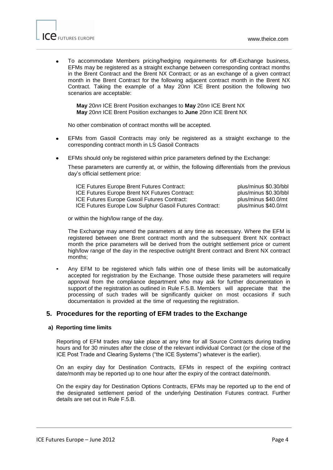

To accommodate Members pricing/hedging requirements for off-Exchange business, EFMs may be registered as a straight exchange between corresponding contract months in the Brent Contract and the Brent NX Contract; or as an exchange of a given contract month in the Brent Contract for the following adjacent contract month in the Brent NX Contract. Taking the example of a May 20*nn* ICE Brent position the following two scenarios are acceptable:

**May** 20*nn* ICE Brent Position exchanges to **May** 20*nn* ICE Brent NX **May** 20*nn* ICE Brent Position exchanges to **June** 20*nn* ICE Brent NX

No other combination of contract months will be accepted.

- EFMs from Gasoil Contracts may only be registered as a straight exchange to the corresponding contract month in LS Gasoil Contracts
- EFMs should only be registered within price parameters defined by the Exchange:

These parameters are currently at, or within, the following differentials from the previous day's official settlement price:

ICE Futures Europe Brent Futures Contract: <br>ICE Futures Europe Brent NX Futures Contract: plus/minus \$0.30/bbl ICE Futures Europe Brent NX Futures Contract: ICE Futures Europe Gasoil Futures Contract: plus/minus \$40.0/mt<br>ICE Futures Europe Low Sulphur Gasoil Futures Contract: plus/minus \$40.0/mt ICE Futures Europe Low Sulphur Gasoil Futures Contract:

or within the high/low range of the day.

The Exchange may amend the parameters at any time as necessary. Where the EFM is registered between one Brent contract month and the subsequent Brent NX contract month the price parameters will be derived from the outright settlement price or current high/low range of the day in the respective outright Brent contract and Brent NX contract months;

• Any EFM to be registered which falls within one of these limits will be automatically accepted for registration by the Exchange. Those outside these parameters will require approval from the compliance department who may ask for further documentation in support of the registration as outlined in Rule F.5.B. Members will appreciate that the processing of such trades will be significantly quicker on most occasions if such documentation is provided at the time of requesting the registration.

#### **5. Procedures for the reporting of EFM trades to the Exchange**

#### **a) Reporting time limits**

Reporting of EFM trades may take place at any time for all Source Contracts during trading hours and for 30 minutes after the close of the relevant individual Contract (or the close of the ICE Post Trade and Clearing Systems ("the ICE Systems") whatever is the earlier).

On an expiry day for Destination Contracts, EFMs in respect of the expiring contract date/month may be reported up to one hour after the expiry of the contract date/month.

On the expiry day for Destination Options Contracts, EFMs may be reported up to the end of the designated settlement period of the underlying Destination Futures contract. Further details are set out in Rule F.5.B.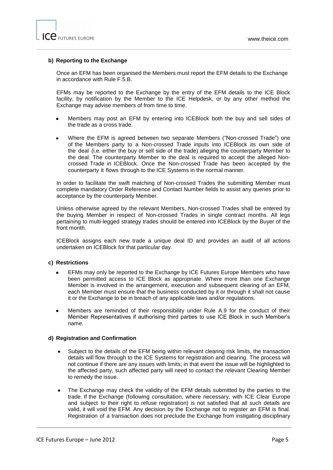#### **b) Reporting to the Exchange**

Once an EFM has been organised the Members must report the EFM details to the Exchange in accordance with Rule F.5.B.

EFMs may be reported to the Exchange by the entry of the EFM details to the ICE Block facility, by notification by the Member to the ICE Helpdesk, or by any other method the Exchange may advise members of from time to time.

- Members may post an EFM by entering into ICEBlock both the buy and sell sides of the trade as a cross trade.
- Where the EFM is agreed between two separate Members ("Non-crossed Trade") one of the Members party to a Non-crossed Trade inputs into ICEBlock its own side of the deal (i.e. either the buy or sell side of the trade) alleging the counterparty Member to the deal. The counterparty Member to the deal is required to accept the alleged Noncrossed Trade in ICEBlock. Once the Non-crossed Trade has been accepted by the counterparty it flows through to the ICE Systems in the normal manner.

In order to facilitate the swift matching of Non-crossed Trades the submitting Member must complete mandatory Order Reference and Contact Number fields to assist any queries prior to acceptance by the counterparty Member.

Unless otherwise agreed by the relevant Members, Non-crossed Trades shall be entered by the buying Member in respect of Non-crossed Trades in single contract months. All legs pertaining to multi-legged strategy trades should be entered into ICEBlock by the Buyer of the front month.

ICEBlock assigns each new trade a unique deal ID and provides an audit of all actions undertaken on ICEBlock for that particular day.

#### **c) Restrictions**

- EFMs may only be reported to the Exchange by ICE Futures Europe Members who have been permitted access to ICE Block as appropriate. Where more than one Exchange Member is involved in the arrangement, execution and subsequent clearing of an EFM, each Member must ensure that the business conducted by it or through it shall not cause it or the Exchange to be in breach of any applicable laws and/or regulations.
- Members are reminded of their responsibility under Rule A.9 for the conduct of their Member Representatives if authorising third parties to use ICE Block in such Member's name.

#### **d) Registration and Confirmation**

- Subject to the details of the EFM being within relevant clearing risk limits, the transaction details will flow through to the ICE Systems for registration and clearing. The process will not continue if there are any issues with limits; in that event the issue will be highlighted to the affected party, such affected party will need to contact the relevant Clearing Member to remedy the issue.
- The Exchange may check the validity of the EFM details submitted by the parties to the trade. If the Exchange (following consultation, where necessary, with ICE Clear Europe and subject to their right to refuse registration) is not satisfied that all such details are valid, it will void the EFM. Any decision by the Exchange not to register an EFM is final. Registration of a transaction does not preclude the Exchange from instigating disciplinary